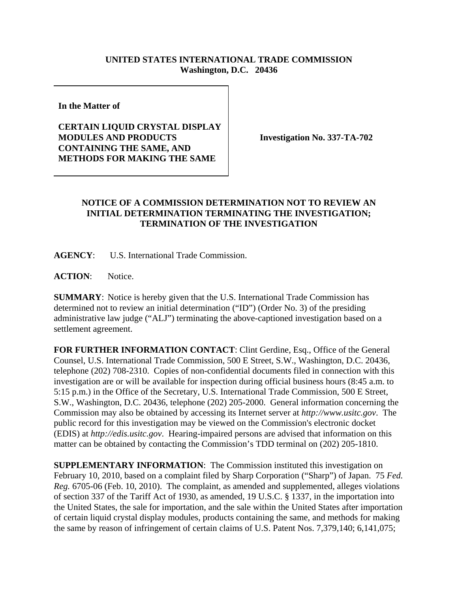## **UNITED STATES INTERNATIONAL TRADE COMMISSION Washington, D.C. 20436**

**In the Matter of** 

## **CERTAIN LIQUID CRYSTAL DISPLAY MODULES AND PRODUCTS CONTAINING THE SAME, AND METHODS FOR MAKING THE SAME**

**Investigation No. 337-TA-702**

## **NOTICE OF A COMMISSION DETERMINATION NOT TO REVIEW AN INITIAL DETERMINATION TERMINATING THE INVESTIGATION; TERMINATION OF THE INVESTIGATION**

**AGENCY**: U.S. International Trade Commission.

**ACTION**: Notice.

**SUMMARY**: Notice is hereby given that the U.S. International Trade Commission has determined not to review an initial determination ("ID") (Order No. 3) of the presiding administrative law judge ("ALJ") terminating the above-captioned investigation based on a settlement agreement.

**FOR FURTHER INFORMATION CONTACT**: Clint Gerdine, Esq., Office of the General Counsel, U.S. International Trade Commission, 500 E Street, S.W., Washington, D.C. 20436, telephone (202) 708-2310. Copies of non-confidential documents filed in connection with this investigation are or will be available for inspection during official business hours (8:45 a.m. to 5:15 p.m.) in the Office of the Secretary, U.S. International Trade Commission, 500 E Street, S.W., Washington, D.C. 20436, telephone (202) 205-2000. General information concerning the Commission may also be obtained by accessing its Internet server at *http://www.usitc.gov*. The public record for this investigation may be viewed on the Commission's electronic docket (EDIS) at *http://edis.usitc.gov*. Hearing-impaired persons are advised that information on this matter can be obtained by contacting the Commission's TDD terminal on (202) 205-1810.

**SUPPLEMENTARY INFORMATION**: The Commission instituted this investigation on February 10, 2010, based on a complaint filed by Sharp Corporation ("Sharp") of Japan. 75 *Fed. Reg.* 6705-06 (Feb. 10, 2010). The complaint, as amended and supplemented, alleges violations of section 337 of the Tariff Act of 1930, as amended, 19 U.S.C. § 1337, in the importation into the United States, the sale for importation, and the sale within the United States after importation of certain liquid crystal display modules, products containing the same, and methods for making the same by reason of infringement of certain claims of U.S. Patent Nos. 7,379,140; 6,141,075;